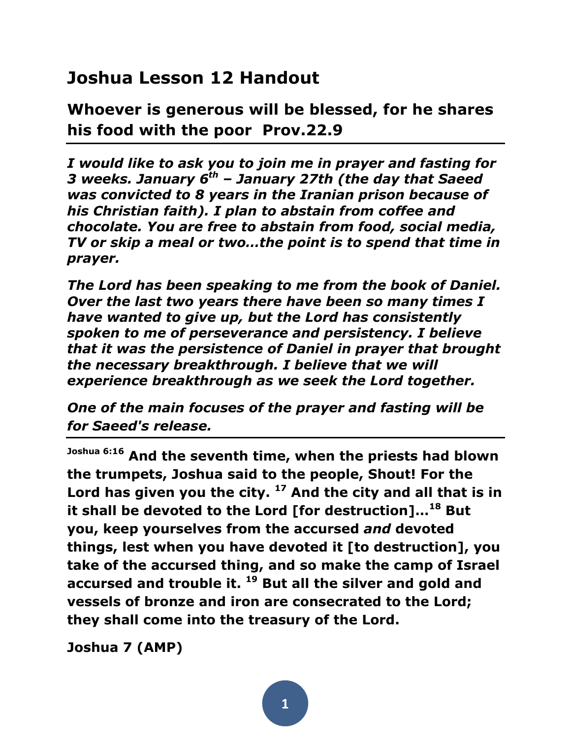## **Joshua Lesson 12 Handout**

**Whoever is generous will be blessed, for he shares his food with the poor Prov.22.9**

*I would like to ask you to join me in prayer and fasting for 3 weeks. January 6th – January 27th (the day that Saeed was convicted to 8 years in the Iranian prison because of his Christian faith). I plan to abstain from coffee and chocolate. You are free to abstain from food, social media, TV or skip a meal or two…the point is to spend that time in prayer.*

*The Lord has been speaking to me from the book of Daniel. Over the last two years there have been so many times I have wanted to give up, but the Lord has consistently spoken to me of perseverance and persistency. I believe that it was the persistence of Daniel in prayer that brought the necessary breakthrough. I believe that we will experience breakthrough as we seek the Lord together.* 

*One of the main focuses of the prayer and fasting will be for Saeed's release.*

**Joshua 6:16 And the seventh time, when the priests had blown the trumpets, Joshua said to the people, Shout! For the Lord has given you the city. <sup>17</sup> And the city and all that is in it shall be devoted to the Lord [for destruction]…<sup>18</sup> But you, keep yourselves from the accursed** *and* **devoted things, lest when you have devoted it [to destruction], you take of the accursed thing, and so make the camp of Israel accursed and trouble it. <sup>19</sup> But all the silver and gold and vessels of bronze and iron are consecrated to the Lord; they shall come into the treasury of the Lord.**

**Joshua 7 (AMP)**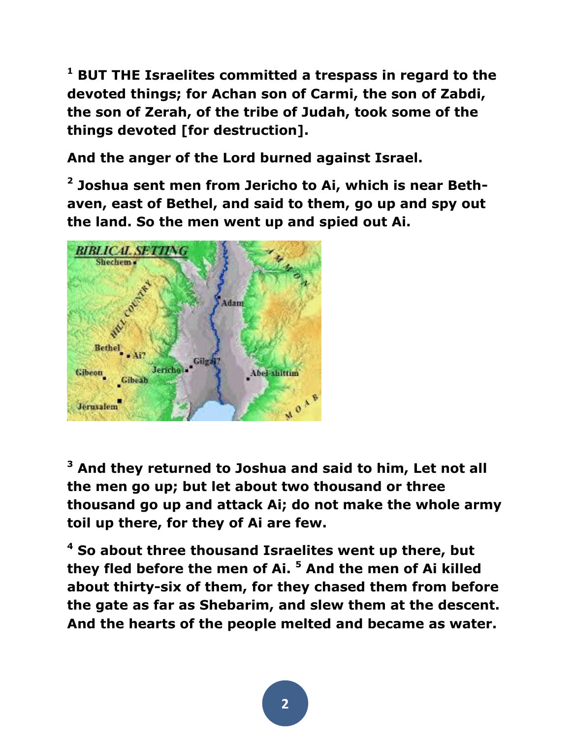**<sup>1</sup> BUT THE Israelites committed a trespass in regard to the devoted things; for Achan son of Carmi, the son of Zabdi, the son of Zerah, of the tribe of Judah, took some of the things devoted [for destruction].** 

**And the anger of the Lord burned against Israel.**

**2 Joshua sent men from Jericho to Ai, which is near Bethaven, east of Bethel, and said to them, go up and spy out the land. So the men went up and spied out Ai.** 



**<sup>3</sup> And they returned to Joshua and said to him, Let not all the men go up; but let about two thousand or three thousand go up and attack Ai; do not make the whole army toil up there, for they of Ai are few.** 

**<sup>4</sup> So about three thousand Israelites went up there, but they fled before the men of Ai. <sup>5</sup> And the men of Ai killed about thirty-six of them, for they chased them from before the gate as far as Shebarim, and slew them at the descent. And the hearts of the people melted and became as water.**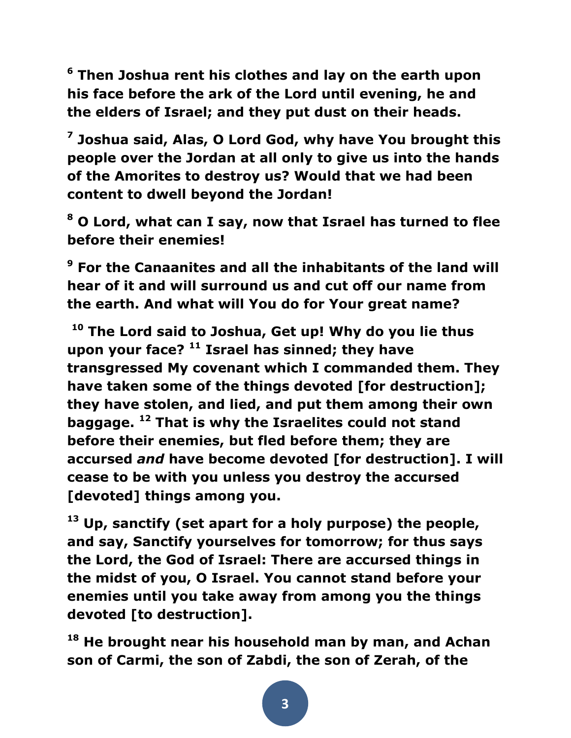**<sup>6</sup> Then Joshua rent his clothes and lay on the earth upon his face before the ark of the Lord until evening, he and the elders of Israel; and they put dust on their heads.**

**7 Joshua said, Alas, O Lord God, why have You brought this people over the Jordan at all only to give us into the hands of the Amorites to destroy us? Would that we had been content to dwell beyond the Jordan!** 

**<sup>8</sup> O Lord, what can I say, now that Israel has turned to flee before their enemies!**

**<sup>9</sup> For the Canaanites and all the inhabitants of the land will hear of it and will surround us and cut off our name from the earth. And what will You do for Your great name?**

**<sup>10</sup> The Lord said to Joshua, Get up! Why do you lie thus upon your face? <sup>11</sup> Israel has sinned; they have transgressed My covenant which I commanded them. They have taken some of the things devoted [for destruction]; they have stolen, and lied, and put them among their own baggage. <sup>12</sup> That is why the Israelites could not stand before their enemies, but fled before them; they are accursed** *and* **have become devoted [for destruction]. I will cease to be with you unless you destroy the accursed [devoted] things among you.** 

**<sup>13</sup> Up, sanctify (set apart for a holy purpose) the people, and say, Sanctify yourselves for tomorrow; for thus says the Lord, the God of Israel: There are accursed things in the midst of you, O Israel. You cannot stand before your enemies until you take away from among you the things devoted [to destruction].** 

**<sup>18</sup> He brought near his household man by man, and Achan son of Carmi, the son of Zabdi, the son of Zerah, of the**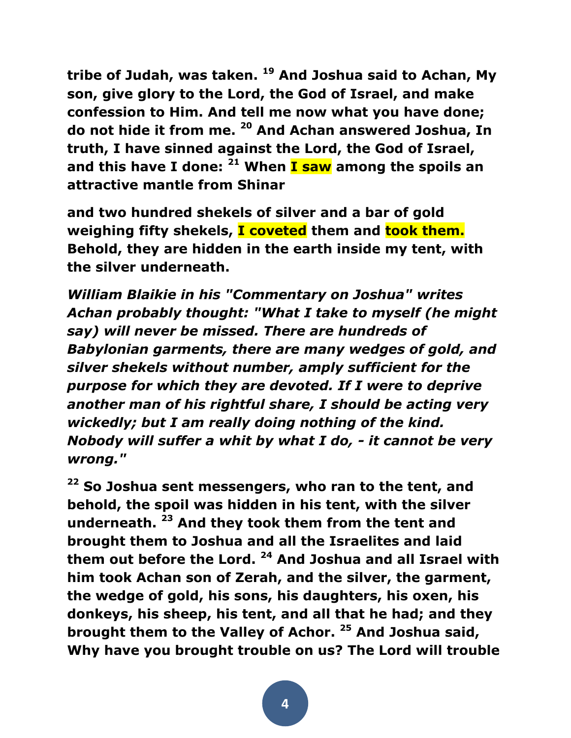**tribe of Judah, was taken. <sup>19</sup> And Joshua said to Achan, My son, give glory to the Lord, the God of Israel, and make confession to Him. And tell me now what you have done; do not hide it from me. <sup>20</sup> And Achan answered Joshua, In truth, I have sinned against the Lord, the God of Israel, and this have I done: <sup>21</sup> When I saw among the spoils an attractive mantle from Shinar**

**and two hundred shekels of silver and a bar of gold weighing fifty shekels, I coveted them and took them. Behold, they are hidden in the earth inside my tent, with the silver underneath.**

*William Blaikie in his "Commentary on Joshua" writes Achan probably thought: "What I take to myself (he might say) will never be missed. There are hundreds of Babylonian garments, there are many wedges of gold, and silver shekels without number, amply sufficient for the purpose for which they are devoted. If I were to deprive another man of his rightful share, I should be acting very wickedly; but I am really doing nothing of the kind. Nobody will suffer a whit by what I do, - it cannot be very wrong."*

**<sup>22</sup> So Joshua sent messengers, who ran to the tent, and behold, the spoil was hidden in his tent, with the silver underneath. <sup>23</sup> And they took them from the tent and brought them to Joshua and all the Israelites and laid them out before the Lord. <sup>24</sup> And Joshua and all Israel with him took Achan son of Zerah, and the silver, the garment, the wedge of gold, his sons, his daughters, his oxen, his donkeys, his sheep, his tent, and all that he had; and they brought them to the Valley of Achor. <sup>25</sup> And Joshua said, Why have you brought trouble on us? The Lord will trouble**